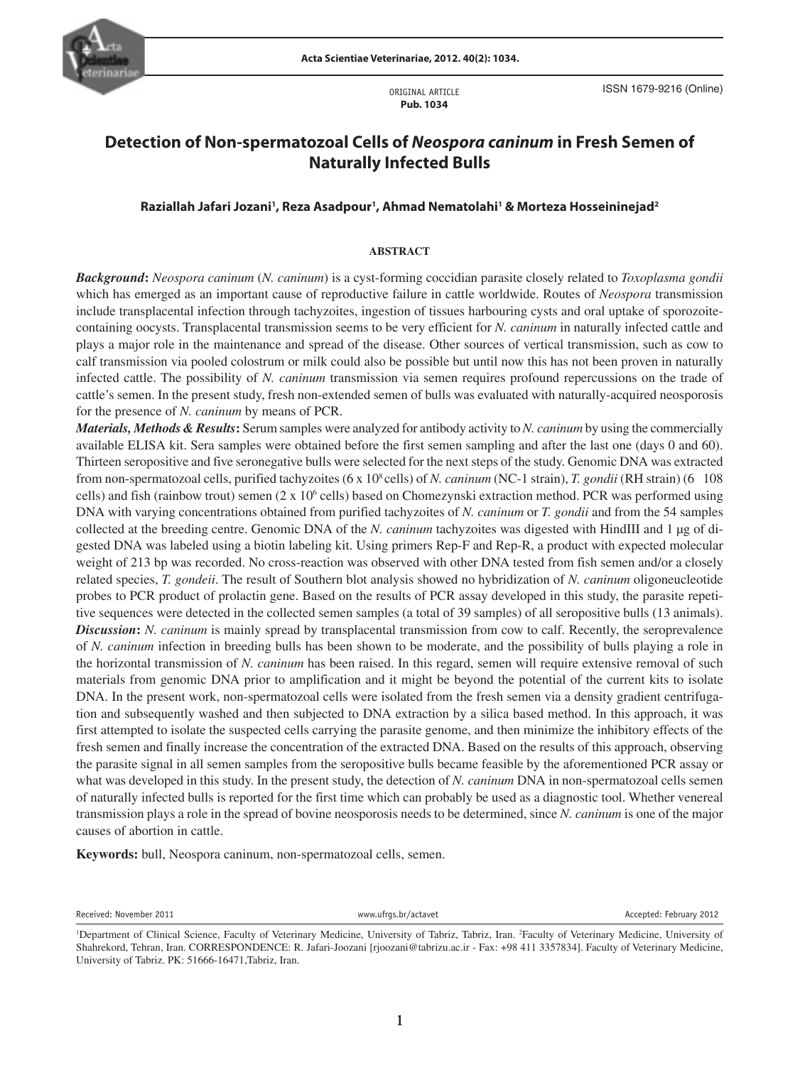

ORIGINAL ARTICLE **Pub. 1034**

# **Detection of Non-spermatozoal Cells of** *Neospora caninum* **in Fresh Semen of Naturally Infected Bulls**

# **Raziallah Jafari Jozani1 , Reza Asadpour1 , Ahmad Nematolahi1 & Morteza Hosseininejad2**

## **ABSTRACT**

*Background***:** *Neospora caninum* (*N. caninum*) is a cyst-forming coccidian parasite closely related to *Toxoplasma gondii*  which has emerged as an important cause of reproductive failure in cattle worldwide. Routes of *Neospora* transmission include transplacental infection through tachyzoites, ingestion of tissues harbouring cysts and oral uptake of sporozoitecontaining oocysts. Transplacental transmission seems to be very efficient for *N. caninum* in naturally infected cattle and plays a major role in the maintenance and spread of the disease. Other sources of vertical transmission, such as cow to calf transmission via pooled colostrum or milk could also be possible but until now this has not been proven in naturally infected cattle. The possibility of *N. caninum* transmission via semen requires profound repercussions on the trade of cattle's semen. In the present study, fresh non-extended semen of bulls was evaluated with naturally-acquired neosporosis for the presence of *N. caninum* by means of PCR.

gested DNA was labeled using a biotin labeling kit. Using primers Rep-F and Rep-R, a product with expected molecular *Materials, Methods & Results***:** Serum samples were analyzed for antibody activity to *N. caninum* by using the commercially available ELISA kit. Sera samples were obtained before the first semen sampling and after the last one (days 0 and 60). Thirteen seropositive and five seronegative bulls were selected for the next steps of the study. Genomic DNA was extracted from non-spermatozoal cells, purified tachyzoites (6 x 10<sup>8</sup> cells) of *N. caninum* (NC-1 strain), *T. gondii* (RH strain) (6 108 cells) and fish (rainbow trout) semen  $(2 \times 10^6 \text{ cells})$  based on Chomezynski extraction method. PCR was performed using DNA with varying concentrations obtained from purified tachyzoites of *N. caninum* or *T. gondii* and from the 54 samples collected at the breeding centre. Genomic DNA of the *N. caninum* tachyzoites was digested with HindIII and 1 μg of diweight of 213 bp was recorded. No cross-reaction was observed with other DNA tested from fish semen and/or a closely related species, *T. gondeii*. The result of Southern blot analysis showed no hybridization of *N. caninum* oligoneucleotide probes to PCR product of prolactin gene. Based on the results of PCR assay developed in this study, the parasite repetitive sequences were detected in the collected semen samples (a total of 39 samples) of all seropositive bulls (13 animals). *Discussion***:** *N. caninum* is mainly spread by transplacental transmission from cow to calf. Recently, the seroprevalence of *N. caninum* infection in breeding bulls has been shown to be moderate, and the possibility of bulls playing a role in the horizontal transmission of *N. caninum* has been raised. In this regard, semen will require extensive removal of such materials from genomic DNA prior to amplification and it might be beyond the potential of the current kits to isolate DNA. In the present work, non-spermatozoal cells were isolated from the fresh semen via a density gradient centrifugation and subsequently washed and then subjected to DNA extraction by a silica based method. In this approach, it was first attempted to isolate the suspected cells carrying the parasite genome, and then minimize the inhibitory effects of the fresh semen and finally increase the concentration of the extracted DNA. Based on the results of this approach, observing the parasite signal in all semen samples from the seropositive bulls became feasible by the aforementioned PCR assay or what was developed in this study. In the present study, the detection of *N. caninum* DNA in non-spermatozoal cells semen of naturally infected bulls is reported for the first time which can probably be used as a diagnostic tool. Whether venereal transmission plays a role in the spread of bovine neosporosis needs to be determined, since *N. caninum* is one of the major causes of abortion in cattle.

**Keywords:** bull, Neospora caninum, non-spermatozoal cells, semen.

Received: November 2011 **WW.UFFERENT WWW.UFFERENT ACCEPTED: NOVER ACCEPTED:** Accepted: February 2012

<sup>&</sup>lt;sup>1</sup>Department of Clinical Science, Faculty of Veterinary Medicine, University of Tabriz, Tabriz, Iran. <sup>2</sup>Faculty of Veterinary Medicine, University of Shahrekord, Tehran, Iran. CORRESPONDENCE: R. Jafari-Joozani [rjoozani@tabrizu.ac.ir - Fax: +98 411 3357834]. Faculty of Veterinary Medicine, University of Tabriz. PK: 51666-16471,Tabriz, Iran.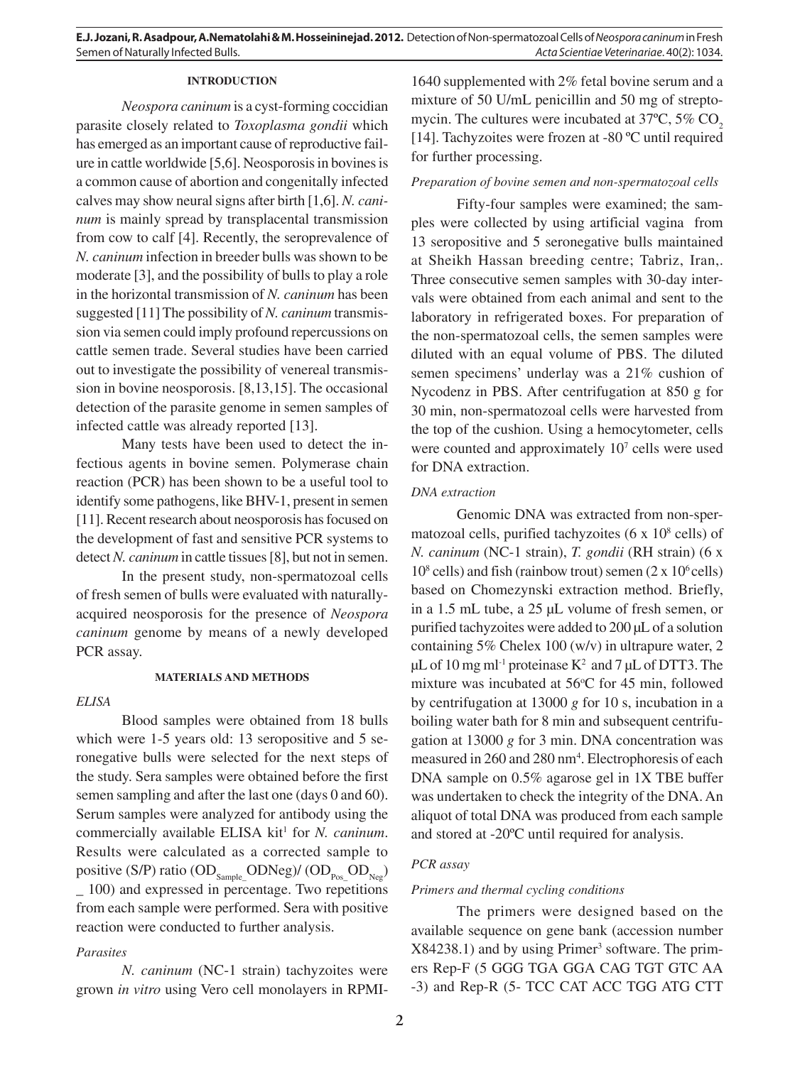**E.J. Jozani, R. Asadpour, A.Nematolahi & M. Hosseininejad. 2012.** Detection of Non-spermatozoal Cells of *Neospora caninum* in Fresh Semen of Naturally Infected Bulls. *Acta Scientiae Veterinariae*. 40(2): 1034.

## **INTRODUCTION**

*Neospora caninum* is a cyst-forming coccidian parasite closely related to *Toxoplasma gondii* which has emerged as an important cause of reproductive failure in cattle worldwide [5,6]. Neosporosis in bovines is a common cause of abortion and congenitally infected calves may show neural signs after birth [1,6]. *N. caninum* is mainly spread by transplacental transmission from cow to calf [4]. Recently, the seroprevalence of *N. caninum* infection in breeder bulls was shown to be moderate [3], and the possibility of bulls to play a role in the horizontal transmission of *N. caninum* has been suggested [11] The possibility of *N. caninum* transmission via semen could imply profound repercussions on cattle semen trade. Several studies have been carried out to investigate the possibility of venereal transmission in bovine neosporosis. [8,13,15]. The occasional detection of the parasite genome in semen samples of infected cattle was already reported [13].

Many tests have been used to detect the infectious agents in bovine semen. Polymerase chain reaction (PCR) has been shown to be a useful tool to identify some pathogens, like BHV-1, present in semen [11]. Recent research about neosporosis has focused on the development of fast and sensitive PCR systems to detect *N. caninum* in cattle tissues [8], but not in semen.

In the present study, non-spermatozoal cells of fresh semen of bulls were evaluated with naturallyacquired neosporosis for the presence of *Neospora caninum* genome by means of a newly developed PCR assay.

#### **MATERIALS AND METHODS**

## *ELISA*

Blood samples were obtained from 18 bulls which were 1-5 years old: 13 seropositive and 5 seronegative bulls were selected for the next steps of the study. Sera samples were obtained before the first semen sampling and after the last one (days 0 and 60). Serum samples were analyzed for antibody using the commercially available ELISA kit<sup>1</sup> for *N. caninum*. Results were calculated as a corrected sample to positive (S/P) ratio (OD<sub>Sample</sub> ODNeg)/ (OD<sub>Pos</sub> OD<sub>Neg</sub>) \_ 100) and expressed in percentage. Two repetitions from each sample were performed. Sera with positive reaction were conducted to further analysis.

# *Parasites*

*N. caninum* (NC-1 strain) tachyzoites were grown *in vitro* using Vero cell monolayers in RPMI-

1640 supplemented with 2% fetal bovine serum and a mixture of 50 U/mL penicillin and 50 mg of streptomycin. The cultures were incubated at  $37^{\circ}$ C,  $5\%$  CO<sub>2</sub> [14]. Tachyzoites were frozen at -80 ºC until required for further processing.

# *Preparation of bovine semen and non-spermatozoal cells*

Fifty-four samples were examined; the samples were collected by using artificial vagina from 13 seropositive and 5 seronegative bulls maintained at Sheikh Hassan breeding centre; Tabriz, Iran,. Three consecutive semen samples with 30-day intervals were obtained from each animal and sent to the laboratory in refrigerated boxes. For preparation of the non-spermatozoal cells, the semen samples were diluted with an equal volume of PBS. The diluted semen specimens' underlay was a 21% cushion of Nycodenz in PBS. After centrifugation at 850 g for 30 min, non-spermatozoal cells were harvested from the top of the cushion. Using a hemocytometer, cells were counted and approximately 10<sup>7</sup> cells were used for DNA extraction.

## *DNA extraction*

Genomic DNA was extracted from non-spermatozoal cells, purified tachyzoites  $(6 \times 10^8 \text{ cells})$  of *N. caninum* (NC-1 strain), *T. gondii* (RH strain) (6 x  $10^8$  cells) and fish (rainbow trout) semen (2 x 10<sup>6</sup> cells) based on Chomezynski extraction method. Briefly, in a 1.5 mL tube, a 25 μL volume of fresh semen, or purified tachyzoites were added to 200 μL of a solution containing 5% Chelex 100 (w/v) in ultrapure water, 2 μL of 10 mg ml<sup>-1</sup> proteinase  $K^2$  and 7 μL of DTT3. The mixture was incubated at 56°C for 45 min, followed by centrifugation at 13000 *g* for 10 s, incubation in a boiling water bath for 8 min and subsequent centrifugation at 13000 *g* for 3 min. DNA concentration was measured in 260 and 280 nm<sup>4</sup>. Electrophoresis of each DNA sample on 0.5% agarose gel in 1X TBE buffer was undertaken to check the integrity of the DNA. An aliquot of total DNA was produced from each sample and stored at -20ºC until required for analysis.

#### *PCR assay*

## *Primers and thermal cycling conditions*

The primers were designed based on the available sequence on gene bank (accession number  $X84238.1$ ) and by using Primer<sup>3</sup> software. The primers Rep-F (5 GGG TGA GGA CAG TGT GTC AA -3) and Rep-R (5- TCC CAT ACC TGG ATG CTT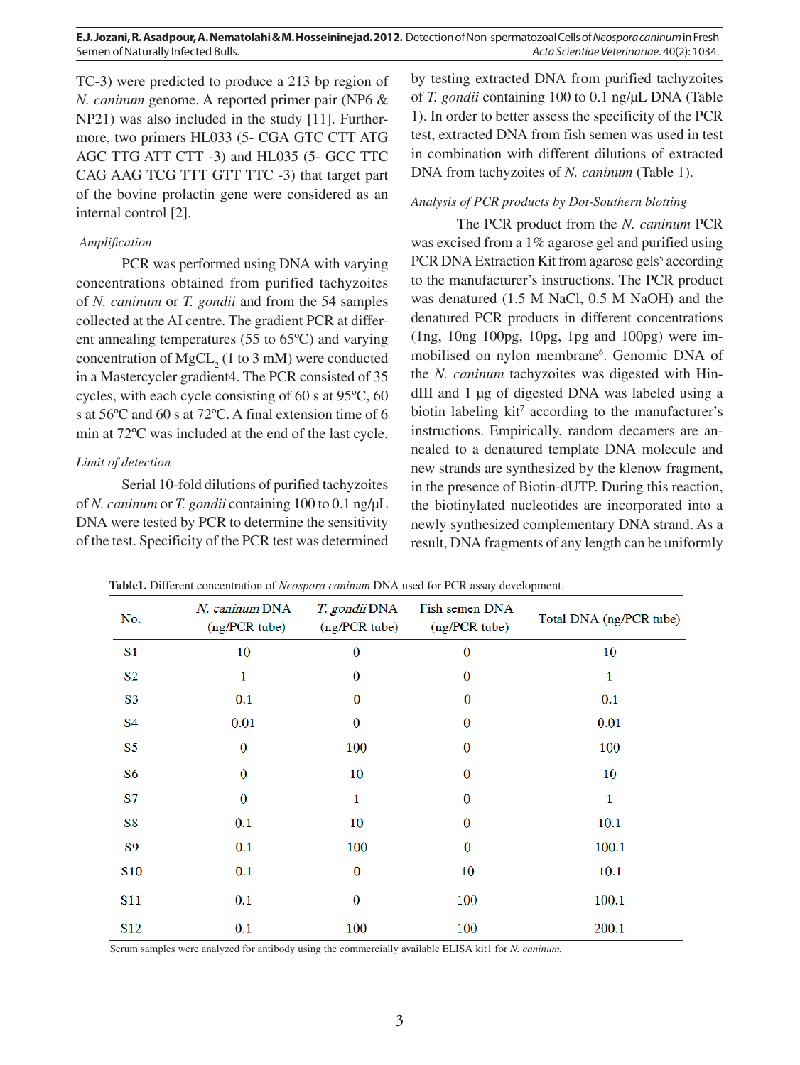**E.J. Jozani, R. Asadpour, A. Nematolahi & M. Hosseininejad. 2012.** Detection of Non-spermatozoal Cells of *Neospora caninum* in Fresh Semen of Naturally Infected Bulls. *Acta Scientiae Veterinariae*. 40(2): 1034.

TC-3) were predicted to produce a 213 bp region of *N. caninum* genome. A reported primer pair (NP6 & NP21) was also included in the study [11]. Furthermore, two primers HL033 (5- CGA GTC CTT ATG AGC TTG ATT CTT -3) and HL035 (5- GCC TTC CAG AAG TCG TTT GTT TTC -3) that target part of the bovine prolactin gene were considered as an internal control [2].

# *Amplification*

PCR was performed using DNA with varying concentrations obtained from purified tachyzoites of *N. caninum* or *T. gondii* and from the 54 samples collected at the AI centre. The gradient PCR at different annealing temperatures (55 to 65ºC) and varying concentration of  $MgCL_2$  (1 to 3 mM) were conducted in a Mastercycler gradient4. The PCR consisted of 35 cycles, with each cycle consisting of 60 s at 95ºC, 60 s at 56ºC and 60 s at 72ºC. A final extension time of 6 min at 72ºC was included at the end of the last cycle.

## *Limit of detection*

Serial 10-fold dilutions of purified tachyzoites of *N. caninum* or *T. gondii* containing 100 to 0.1 ng/μL DNA were tested by PCR to determine the sensitivity of the test. Specificity of the PCR test was determined by testing extracted DNA from purified tachyzoites of *T. gondii* containing 100 to 0.1 ng/μL DNA (Table 1). In order to better assess the specificity of the PCR test, extracted DNA from fish semen was used in test in combination with different dilutions of extracted DNA from tachyzoites of *N. caninum* (Table 1).

## *Analysis of PCR products by Dot-Southern blotting*

result, DNA fragments of any length can be uniformly The PCR product from the *N. caninum* PCR was excised from a 1% agarose gel and purified using PCR DNA Extraction Kit from agarose gels<sup>5</sup> according to the manufacturer's instructions. The PCR product was denatured (1.5 M NaCl, 0.5 M NaOH) and the denatured PCR products in different concentrations  $(1ng, 10ng 100pg, 10pg, 1pg and 100pg)$  were immobilised on nylon membrane<sup>6</sup>. Genomic DNA of the *N. caninum* tachyzoites was digested with HindIII and 1 μg of digested DNA was labeled using a biotin labeling  $kit^7$  according to the manufacturer's instructions. Empirically, random decamers are annealed to a denatured template DNA molecule and new strands are synthesized by the klenow fragment, in the presence of Biotin-dUTP. During this reaction, the biotinylated nucleotides are incorporated into a newly synthesized complementary DNA strand. As a

| No.             | N. caninum DNA<br>(ng/PCR tube) | T. gondii DNA<br>(ng/PCR tube) | Fish semen DNA<br>(ng/PCR tube) | Total DNA (ng/PCR tube) |  |
|-----------------|---------------------------------|--------------------------------|---------------------------------|-------------------------|--|
| S <sub>1</sub>  | 10                              | $\bf{0}$                       | $\bf{0}$                        | 10                      |  |
| S <sub>2</sub>  | 1                               | $\mathbf{0}$                   | $\bf{0}$                        | 1                       |  |
| S <sub>3</sub>  | 0.1                             | $\bf{0}$                       | $\bf{0}$                        | 0.1                     |  |
| <b>S4</b>       | 0.01                            | $\bf{0}$                       | $\bf{0}$                        | 0.01                    |  |
| S5              | $\bf{0}$                        | 100                            | $\boldsymbol{0}$                | 100                     |  |
| S <sub>6</sub>  | $\bf{0}$                        | 10                             | $\bf{0}$                        | 10                      |  |
| <b>S7</b>       | $\bf{0}$                        | 1                              | $\bf{0}$                        | 1                       |  |
| S8              | 0.1                             | 10                             | $\bf{0}$                        | 10.1                    |  |
| S <sub>9</sub>  | 0.1                             | 100                            | $\bf{0}$                        | 100.1                   |  |
| <b>S10</b>      | 0.1                             | $\bf{0}$                       | 10                              | 10.1                    |  |
| S <sub>11</sub> | 0.1                             | $\bf{0}$                       | 100                             | 100.1                   |  |
| S <sub>12</sub> | 0.1                             | 100                            | 100                             | 200.1                   |  |

**Table1.** Different concentration of *Neospora caninum* DNA used for PCR assay development.

Serum samples were analyzed for antibody using the commercially available ELISA kit1 for *N. caninum.*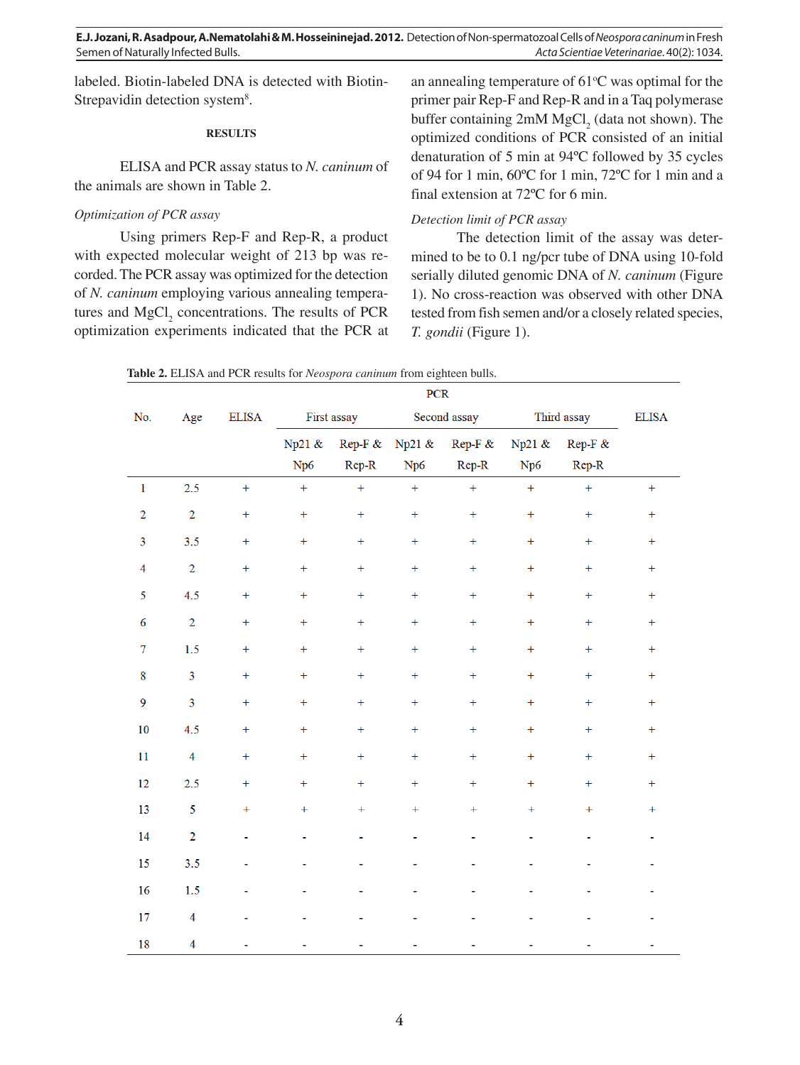**E.J. Jozani, R. Asadpour, A.Nematolahi & M. Hosseininejad. 2012.** Detection of Non-spermatozoal Cells of *Neospora caninum* in Fresh Semen of Naturally Infected Bulls. *Acta Scientiae Veterinariae*. 40(2): 1034.

labeled. Biotin-labeled DNA is detected with Biotin-Strepavidin detection system<sup>8</sup>.

#### **RESULTS**

ELISA and PCR assay status to *N. caninum* of the animals are shown in Table 2.

## *Optimization of PCR assay*

Using primers Rep-F and Rep-R, a product with expected molecular weight of 213 bp was recorded. The PCR assay was optimized for the detection of *N. caninum* employing various annealing temperatures and  $MgCl<sub>2</sub>$  concentrations. The results of PCR optimization experiments indicated that the PCR at

an annealing temperature of  $61^{\circ}$ C was optimal for the primer pair Rep-F and Rep-R and in a Taq polymerase buffer containing  $2mM MgCl<sub>2</sub>$  (data not shown). The optimized conditions of PCR consisted of an initial denaturation of 5 min at 94ºC followed by 35 cycles of 94 for 1 min, 60ºC for 1 min, 72ºC for 1 min and a final extension at 72ºC for 6 min.

## *Detection limit of PCR assay*

 $n \alpha n$ 

The detection limit of the assay was determined to be to 0.1 ng/pcr tube of DNA using 10-fold serially diluted genomic DNA of *N. caninum* (Figure 1). No cross-reaction was observed with other DNA tested from fish semen and/or a closely related species, *T. gondii* (Figure 1).

**Table 2.** ELISA and PCR results for *Neospora caninum* from eighteen bulls.

|                         |                         |                          | <b>PUR</b>       |                |                |            |                |                |                |
|-------------------------|-------------------------|--------------------------|------------------|----------------|----------------|------------|----------------|----------------|----------------|
| No.                     | Age                     | <b>ELISA</b>             | First assay      |                | Second assay   |            | Third assay    |                | <b>ELISA</b>   |
|                         |                         |                          | Np21 &           | Rep-F &        | Np21 &         | $Rep F \&$ | Np21 &         | Rep-F &        |                |
|                         |                         |                          | Np6              | $Rep-R$        | Np6            | Rep-R      | Np6            | Rep-R          |                |
| $\mathbf 1$             | 2.5                     | $\pm$                    | $\ddot{}$        | $\pm$          | $\ddot{}$      | $\ddot{}$  | $\ddot{}$      | $\ddot{}$      | $+$            |
| $\overline{2}$          | $\overline{2}$          | $\boldsymbol{+}$         | $\ddot{}$        | $+$            | $\color{red}+$ | $\ddot{}$  | $\ddot{}$      | $\pm$          | $+$            |
| $\overline{\mathbf{3}}$ | 3.5                     | $+$                      | $+$              | $+$            | $+$            | $\ddot{}$  | $+$            | $+$            | $+$            |
| $\overline{4}$          | $\overline{2}$          | $+$                      | $+$              | $+$            | $\pm$          | $+$        | $\pm$          | $+$            | $+$            |
| 5                       | 4.5                     | $+$                      | $\color{red}+$   | $\color{red}+$ | $\pm$          | $\ddot{}$  | $\pm$          | $\color{red}+$ | $+$            |
| 6                       | $\overline{2}$          | $^{+}$                   | $+$              | $+$            | $\pm$          | $+$        | $+$            | $+$            | $+$            |
| $\tau$                  | 1.5                     | $\color{red}+$           | $\color{red}+$   | $\color{red}+$ | $\color{red}+$ | $^{+}$     | $+$            | $+$            | $+$            |
| $\bf 8$                 | 3                       | $^{+}$                   | $\color{red}+$   | $+$            | $\color{red}+$ | $\ddot{}$  | $+$            | $+$            | $\pm$          |
| $\mathbf{9}$            | $\overline{\mathbf{3}}$ | $\boldsymbol{+}$         | $\boldsymbol{+}$ | $\color{red}+$ | $\pm$          | $\ddot{}$  | $\pm$          | $\color{red}+$ | $\color{red}+$ |
| 10                      | 4.5                     | $+$                      | $+$              | $+$            | $+$            | $+$        | $+$            | $+$            | $+$            |
| 11                      | $\overline{4}$          | $+$                      | $\color{red}+$   | $+$            | $\color{red}+$ | $\pm$      | $\color{red}+$ | $+$            | $+$            |
| 12                      | 2.5                     | $\boldsymbol{+}$         | $\ddot{}$        | $+$            | $+$            | $\ddot{}$  | $+$            | $+$            | $+$            |
| 13                      | 5                       | $+$                      | $\color{red}+$   | $\ddot{}$      | $\ddot{}$      | $+$        | $\pm$          | $+$            | $+$            |
| 14                      | $\overline{2}$          | ä,                       | ۰                |                |                |            | ۰              |                |                |
| 15                      | 3.5                     | $\overline{\phantom{a}}$ | ä,               |                |                |            |                |                |                |
| 16                      | 1.5                     |                          |                  |                |                |            |                |                |                |
| 17                      | $\overline{\mathbf{4}}$ |                          |                  |                |                |            |                |                |                |
| 18                      | $\overline{\mathbf{4}}$ |                          |                  |                |                |            |                |                |                |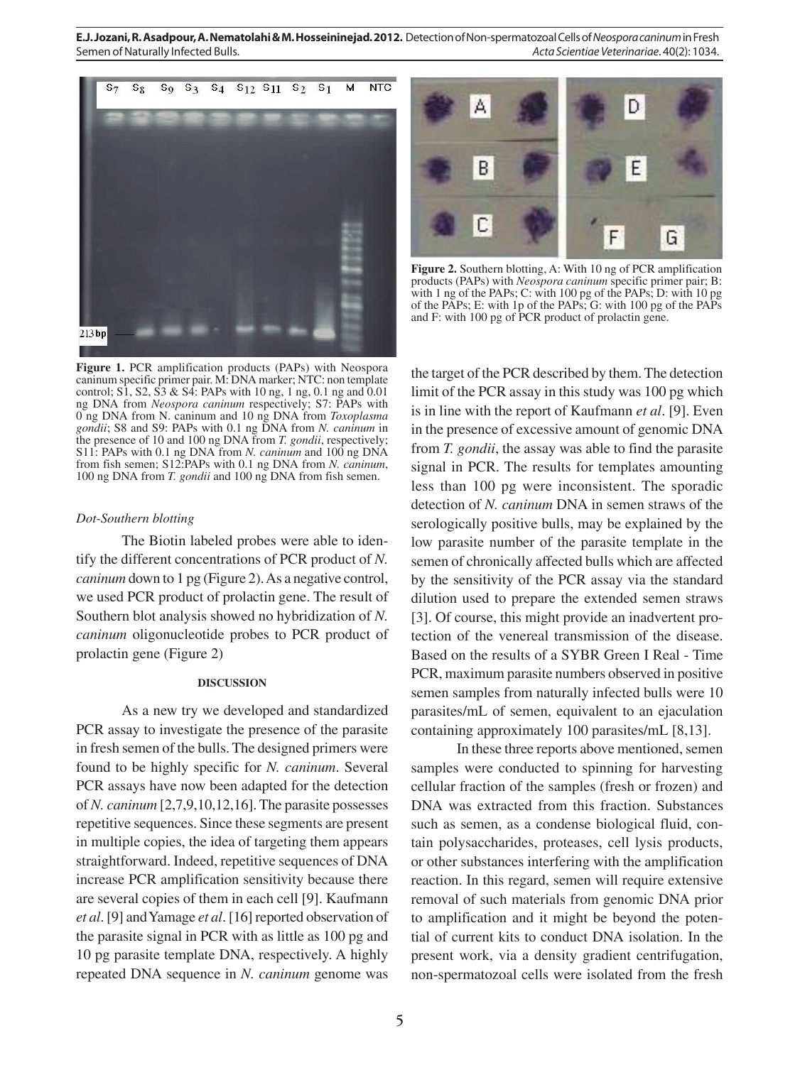**E.J. Jozani, R. Asadpour, A. Nematolahi & M. Hosseininejad. 2012.** Detection of Non-spermatozoal Cells of *Neospora caninum* in Fresh Semen of Naturally Infected Bulls. *Acta Scientiae Veterinariae*. 40(2): 1034.





**Figure 2.** Southern blotting, A: With 10 ng of PCR amplification products (PAPs) with *Neospora caninum* specific primer pair; B: with 1 ng of the PAPs; C: with 100 pg of the PAPs; D: with 10 pg of the PAPs; E: with 1p of the PAPs; G: with 100 pg of the PAPs and F: with 100 pg of PCR product of prolactin gene.

**Figure 1.** PCR amplification products (PAPs) with Neospora caninum specific primer pair. M: DNA marker; NTC: non template control; S1, S2, S3 & S4: PAPs with 10 ng, 1 ng, 0.1 ng and 0.01 ng DNA from *Neospora caninum* respectively; S7: PAPs with 0 ng DNA from N. caninum and 10 ng DNA from *Toxoplasma gondii*; S8 and S9: PAPs with 0.1 ng DNA from *N. caninum* in the presence of 10 and 100 ng DNA from *T. gondii*, respectively; S11: PAPs with 0.1 ng DNA from *N. caninum* and 100 ng DNA from fish semen; S12:PAPs with 0.1 ng DNA from *N. caninum*, 100 ng DNA from *T. gondii* and 100 ng DNA from fish semen.

#### *Dot-Southern blotting*

The Biotin labeled probes were able to identify the different concentrations of PCR product of *N. caninum* down to 1 pg (Figure 2). As a negative control, we used PCR product of prolactin gene. The result of Southern blot analysis showed no hybridization of *N. caninum* oligonucleotide probes to PCR product of prolactin gene (Figure 2)

#### **DISCUSSION**

As a new try we developed and standardized PCR assay to investigate the presence of the parasite in fresh semen of the bulls. The designed primers were found to be highly specific for *N. caninum*. Several PCR assays have now been adapted for the detection of *N. caninum* [2,7,9,10,12,16]. The parasite possesses repetitive sequences. Since these segments are present in multiple copies, the idea of targeting them appears straightforward. Indeed, repetitive sequences of DNA increase PCR amplification sensitivity because there are several copies of them in each cell [9]. Kaufmann *et al*. [9] and Yamage *et al*. [16] reported observation of the parasite signal in PCR with as little as 100 pg and 10 pg parasite template DNA, respectively. A highly repeated DNA sequence in *N. caninum* genome was

low parasite number of the parasite template in the the target of the PCR described by them. The detection limit of the PCR assay in this study was 100 pg which is in line with the report of Kaufmann *et al*. [9]. Even in the presence of excessive amount of genomic DNA from *T. gondii*, the assay was able to find the parasite signal in PCR. The results for templates amounting less than 100 pg were inconsistent. The sporadic detection of *N. caninum* DNA in semen straws of the serologically positive bulls, may be explained by the semen of chronically affected bulls which are affected by the sensitivity of the PCR assay via the standard dilution used to prepare the extended semen straws [3]. Of course, this might provide an inadvertent protection of the venereal transmission of the disease. Based on the results of a SYBR Green I Real - Time PCR, maximum parasite numbers observed in positive semen samples from naturally infected bulls were 10 parasites/mL of semen, equivalent to an ejaculation containing approximately 100 parasites/mL [8,13].

In these three reports above mentioned, semen samples were conducted to spinning for harvesting cellular fraction of the samples (fresh or frozen) and DNA was extracted from this fraction. Substances such as semen, as a condense biological fluid, contain polysaccharides, proteases, cell lysis products, or other substances interfering with the amplification reaction. In this regard, semen will require extensive removal of such materials from genomic DNA prior to amplification and it might be beyond the potential of current kits to conduct DNA isolation. In the present work, via a density gradient centrifugation, non-spermatozoal cells were isolated from the fresh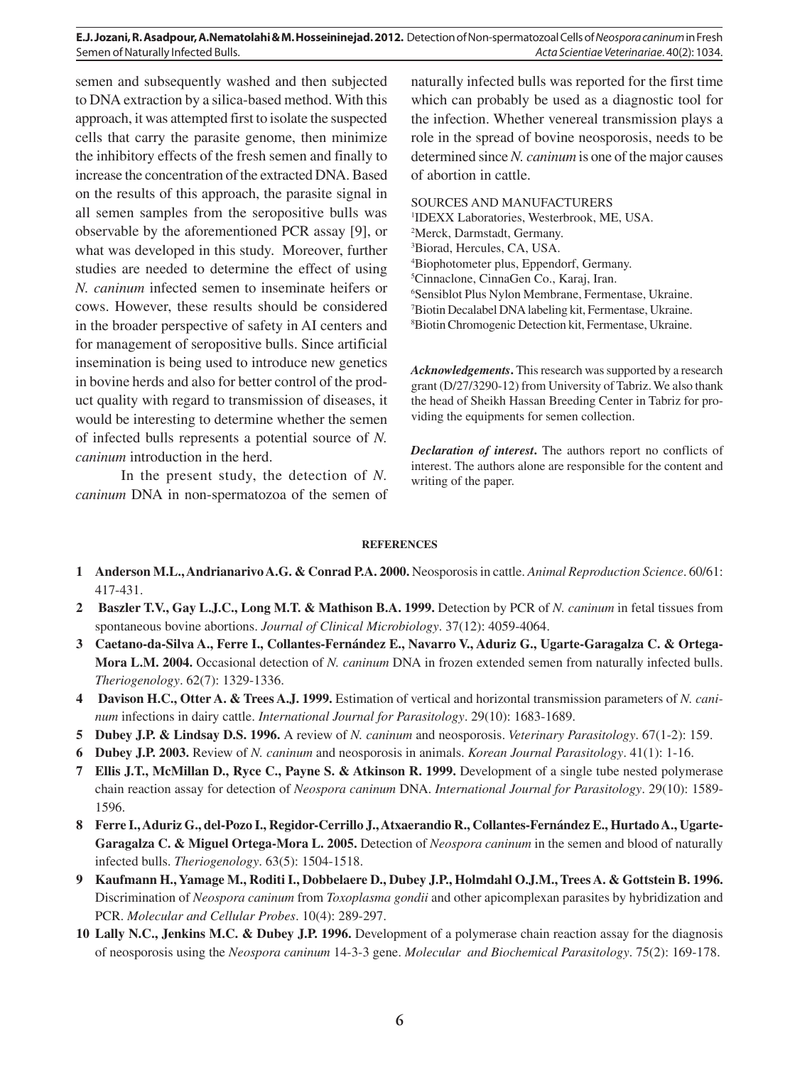**E.J. Jozani, R. Asadpour, A.Nematolahi & M. Hosseininejad. 2012.** Detection of Non-spermatozoal Cells of *Neospora caninum* in Fresh Semen of Naturally Infected Bulls. *Acta Scientiae Veterinariae*. 40(2): 1034.

semen and subsequently washed and then subjected to DNA extraction by a silica-based method. With this approach, it was attempted first to isolate the suspected cells that carry the parasite genome, then minimize the inhibitory effects of the fresh semen and finally to increase the concentration of the extracted DNA. Based on the results of this approach, the parasite signal in all semen samples from the seropositive bulls was observable by the aforementioned PCR assay [9], or what was developed in this study. Moreover, further studies are needed to determine the effect of using *N. caninum* infected semen to inseminate heifers or cows. However, these results should be considered in the broader perspective of safety in AI centers and for management of seropositive bulls. Since artificial insemination is being used to introduce new genetics in bovine herds and also for better control of the product quality with regard to transmission of diseases, it would be interesting to determine whether the semen of infected bulls represents a potential source of *N. caninum* introduction in the herd.

In the present study, the detection of *N. caninum* DNA in non-spermatozoa of the semen of

naturally infected bulls was reported for the first time which can probably be used as a diagnostic tool for the infection. Whether venereal transmission plays a role in the spread of bovine neosporosis, needs to be determined since *N. caninum* is one of the major causes of abortion in cattle.

SOURCES AND MANUFACTURERS IDEXX Laboratories, Westerbrook, ME, USA. Merck, Darmstadt, Germany. Biorad, Hercules, CA, USA. Biophotometer plus, Eppendorf, Germany. Cinnaclone, CinnaGen Co., Karaj, Iran. Sensiblot Plus Nylon Membrane, Fermentase, Ukraine. Biotin Decalabel DNA labeling kit, Fermentase, Ukraine. Biotin Chromogenic Detection kit, Fermentase, Ukraine.

*Acknowledgements***.** This research was supported by a research grant (D/27/3290-12) from University of Tabriz. We also thank the head of Sheikh Hassan Breeding Center in Tabriz for providing the equipments for semen collection.

*Declaration of interest***.** The authors report no conflicts of interest. The authors alone are responsible for the content and writing of the paper.

## **REFERENCES**

- **1 Anderson M.L., Andrianarivo A.G. & Conrad P.A. 2000.** Neosporosis in cattle. *Animal Reproduction Science*. 60/61: 417-431.
- **2 Baszler T.V., Gay L.J.C., Long M.T. & Mathison B.A. 1999.** Detection by PCR of *N. caninum* in fetal tissues from spontaneous bovine abortions. *Journal of Clinical Microbiology*. 37(12): 4059-4064.
- **3 Caetano-da-Silva A., Ferre I., Collantes-Fernández E., Navarro V., Aduriz G., Ugarte-Garagalza C. & Ortega-Mora L.M. 2004.** Occasional detection of *N. caninum* DNA in frozen extended semen from naturally infected bulls. *Theriogenology*. 62(7): 1329-1336.
- **4 Davison H.C., Otter A. & Trees A.J. 1999.** Estimation of vertical and horizontal transmission parameters of *N. caninum* infections in dairy cattle. *International Journal for Parasitology*. 29(10): 1683-1689.
- **5 Dubey J.P. & Lindsay D.S. 1996.** A review of *N. caninum* and neosporosis. *Veterinary Parasitology*. 67(1-2): 159.
- **6 Dubey J.P. 2003.** Review of *N. caninum* and neosporosis in animals. *Korean Journal Parasitology*. 41(1): 1-16.
- **7 Ellis J.T., McMillan D., Ryce C., Payne S. & Atkinson R. 1999.** Development of a single tube nested polymerase chain reaction assay for detection of *Neospora caninum* DNA. *International Journal for Parasitology*. 29(10): 1589- 1596.
- **8 Ferre I., Aduriz G., del-Pozo I., Regidor-Cerrillo J., Atxaerandio R., Collantes-Fernández E., Hurtado A., Ugarte-Garagalza C. & Miguel Ortega-Mora L. 2005.** Detection of *Neospora caninum* in the semen and blood of naturally infected bulls. *Theriogenology*. 63(5): 1504-1518.
- **9 Kaufmann H., Yamage M., Roditi I., Dobbelaere D., Dubey J.P., Holmdahl O.J.M., Trees A. & Gottstein B. 1996.**  Discrimination of *Neospora caninum* from *Toxoplasma gondii* and other apicomplexan parasites by hybridization and PCR. *Molecular and Cellular Probes*. 10(4): 289-297.
- **10 Lally N.C., Jenkins M.C. & Dubey J.P. 1996.** Development of a polymerase chain reaction assay for the diagnosis of neosporosis using the *Neospora caninum* 14-3-3 gene. *Molecular and Biochemical Parasitology*. 75(2): 169-178.